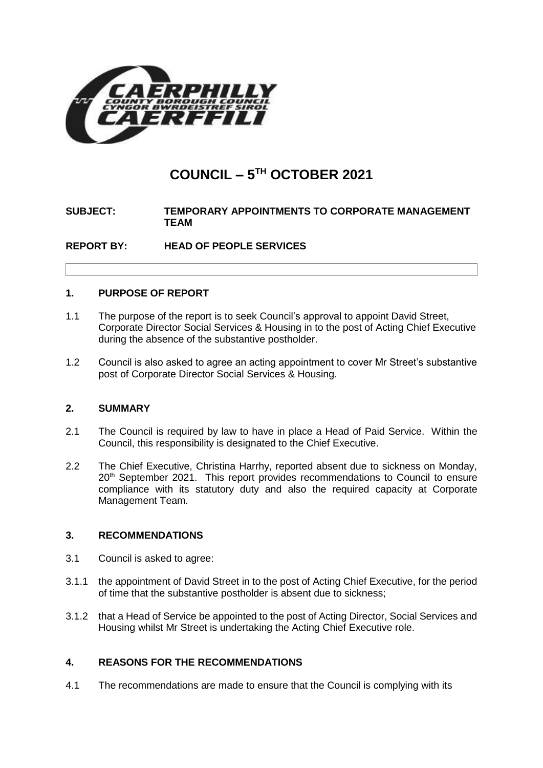

# **COUNCIL – 5 TH OCTOBER 2021**

# **SUBJECT: TEMPORARY APPOINTMENTS TO CORPORATE MANAGEMENT TEAM**

**REPORT BY: HEAD OF PEOPLE SERVICES**

## **1. PURPOSE OF REPORT**

- 1.1 The purpose of the report is to seek Council's approval to appoint David Street, Corporate Director Social Services & Housing in to the post of Acting Chief Executive during the absence of the substantive postholder.
- 1.2 Council is also asked to agree an acting appointment to cover Mr Street's substantive post of Corporate Director Social Services & Housing.

#### **2. SUMMARY**

- 2.1 The Council is required by law to have in place a Head of Paid Service. Within the Council, this responsibility is designated to the Chief Executive.
- 2.2 The Chief Executive, Christina Harrhy, reported absent due to sickness on Monday, 20<sup>th</sup> September 2021. This report provides recommendations to Council to ensure compliance with its statutory duty and also the required capacity at Corporate Management Team.

# **3. RECOMMENDATIONS**

- 3.1 Council is asked to agree:
- 3.1.1 the appointment of David Street in to the post of Acting Chief Executive, for the period of time that the substantive postholder is absent due to sickness;
- 3.1.2 that a Head of Service be appointed to the post of Acting Director, Social Services and Housing whilst Mr Street is undertaking the Acting Chief Executive role.

# **4. REASONS FOR THE RECOMMENDATIONS**

4.1 The recommendations are made to ensure that the Council is complying with its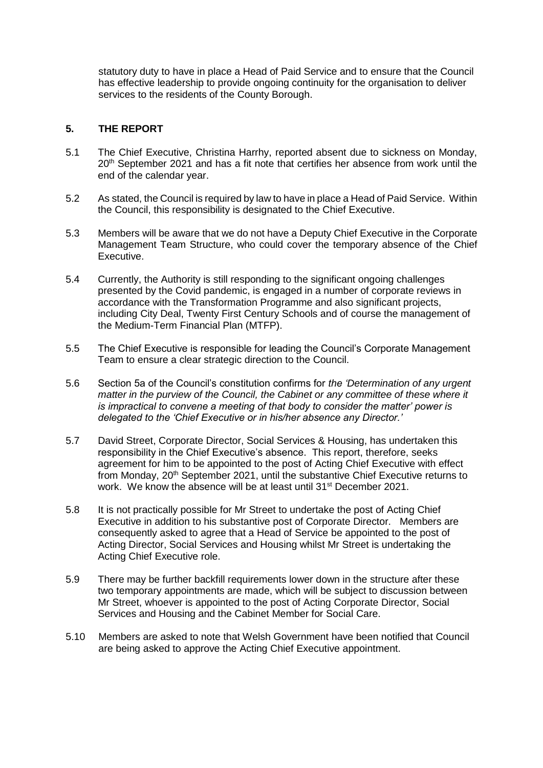statutory duty to have in place a Head of Paid Service and to ensure that the Council has effective leadership to provide ongoing continuity for the organisation to deliver services to the residents of the County Borough.

### **5. THE REPORT**

- 5.1 The Chief Executive, Christina Harrhy, reported absent due to sickness on Monday, 20<sup>th</sup> September 2021 and has a fit note that certifies her absence from work until the end of the calendar year.
- 5.2 As stated, the Council is required by law to have in place a Head of Paid Service. Within the Council, this responsibility is designated to the Chief Executive.
- 5.3 Members will be aware that we do not have a Deputy Chief Executive in the Corporate Management Team Structure, who could cover the temporary absence of the Chief Executive.
- 5.4 Currently, the Authority is still responding to the significant ongoing challenges presented by the Covid pandemic, is engaged in a number of corporate reviews in accordance with the Transformation Programme and also significant projects, including City Deal, Twenty First Century Schools and of course the management of the Medium-Term Financial Plan (MTFP).
- 5.5 The Chief Executive is responsible for leading the Council's Corporate Management Team to ensure a clear strategic direction to the Council.
- 5.6 Section 5a of the Council's constitution confirms for *the 'Determination of any urgent matter in the purview of the Council, the Cabinet or any committee of these where it is impractical to convene a meeting of that body to consider the matter' power is delegated to the 'Chief Executive or in his/her absence any Director.'*
- 5.7 David Street, Corporate Director, Social Services & Housing, has undertaken this responsibility in the Chief Executive's absence. This report, therefore, seeks agreement for him to be appointed to the post of Acting Chief Executive with effect from Monday, 20<sup>th</sup> September 2021, until the substantive Chief Executive returns to work. We know the absence will be at least until 31st December 2021.
- 5.8 It is not practically possible for Mr Street to undertake the post of Acting Chief Executive in addition to his substantive post of Corporate Director. Members are consequently asked to agree that a Head of Service be appointed to the post of Acting Director, Social Services and Housing whilst Mr Street is undertaking the Acting Chief Executive role.
- 5.9 There may be further backfill requirements lower down in the structure after these two temporary appointments are made, which will be subject to discussion between Mr Street, whoever is appointed to the post of Acting Corporate Director, Social Services and Housing and the Cabinet Member for Social Care.
- 5.10 Members are asked to note that Welsh Government have been notified that Council are being asked to approve the Acting Chief Executive appointment.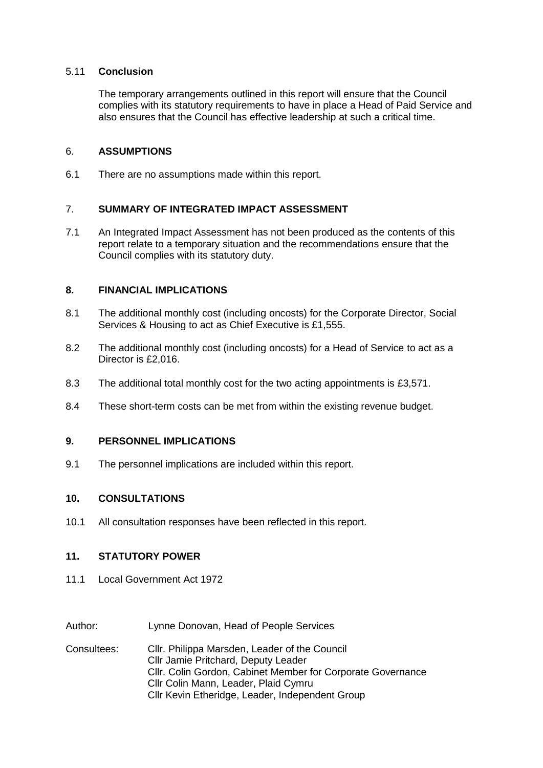#### 5.11 **Conclusion**

The temporary arrangements outlined in this report will ensure that the Council complies with its statutory requirements to have in place a Head of Paid Service and also ensures that the Council has effective leadership at such a critical time.

#### 6. **ASSUMPTIONS**

6.1 There are no assumptions made within this report.

#### 7. **SUMMARY OF INTEGRATED IMPACT ASSESSMENT**

7.1 An Integrated Impact Assessment has not been produced as the contents of this report relate to a temporary situation and the recommendations ensure that the Council complies with its statutory duty.

#### **8. FINANCIAL IMPLICATIONS**

- 8.1 The additional monthly cost (including oncosts) for the Corporate Director, Social Services & Housing to act as Chief Executive is £1,555.
- 8.2 The additional monthly cost (including oncosts) for a Head of Service to act as a Director is £2,016.
- 8.3 The additional total monthly cost for the two acting appointments is £3,571.
- 8.4 These short-term costs can be met from within the existing revenue budget.

#### **9. PERSONNEL IMPLICATIONS**

9.1 The personnel implications are included within this report.

#### **10. CONSULTATIONS**

10.1 All consultation responses have been reflected in this report.

#### **11. STATUTORY POWER**

- 11.1 Local Government Act 1972
- Author: Lynne Donovan, Head of People Services
- Consultees: Cllr. Philippa Marsden, Leader of the Council Cllr Jamie Pritchard, Deputy Leader Cllr. Colin Gordon, Cabinet Member for Corporate Governance Cllr Colin Mann, Leader, Plaid Cymru Cllr Kevin Etheridge, Leader, Independent Group